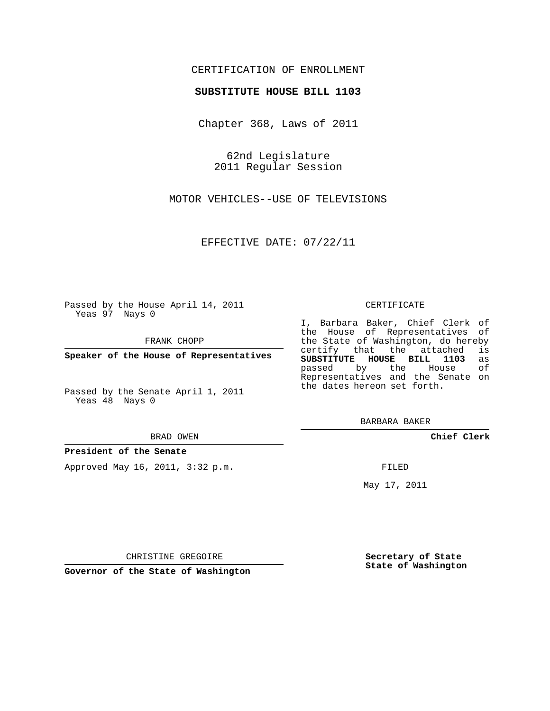## CERTIFICATION OF ENROLLMENT

## **SUBSTITUTE HOUSE BILL 1103**

Chapter 368, Laws of 2011

62nd Legislature 2011 Regular Session

MOTOR VEHICLES--USE OF TELEVISIONS

EFFECTIVE DATE: 07/22/11

Passed by the House April 14, 2011 Yeas 97 Nays 0

FRANK CHOPP

**Speaker of the House of Representatives**

Yeas 48 Nays 0

#### BRAD OWEN

**President of the Senate**

Approved May 16, 2011, 3:32 p.m.

### CERTIFICATE

I, Barbara Baker, Chief Clerk of the House of Representatives of the State of Washington, do hereby<br>certify that the attached is certify that the attached **SUBSTITUTE HOUSE BILL 1103** as passed by the Representatives and the Senate on the dates hereon set forth.

BARBARA BAKER

**Chief Clerk**

FILED

May 17, 2011

**Secretary of State State of Washington**

CHRISTINE GREGOIRE

**Governor of the State of Washington**

Passed by the Senate April 1, 2011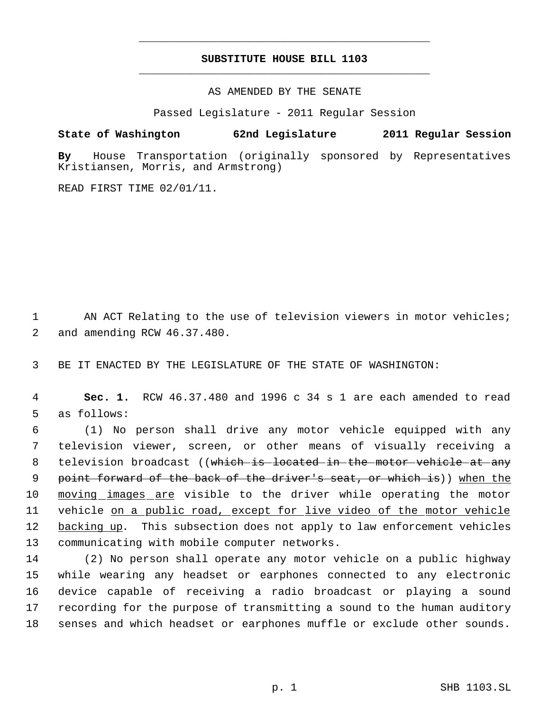# **SUBSTITUTE HOUSE BILL 1103** \_\_\_\_\_\_\_\_\_\_\_\_\_\_\_\_\_\_\_\_\_\_\_\_\_\_\_\_\_\_\_\_\_\_\_\_\_\_\_\_\_\_\_\_\_

\_\_\_\_\_\_\_\_\_\_\_\_\_\_\_\_\_\_\_\_\_\_\_\_\_\_\_\_\_\_\_\_\_\_\_\_\_\_\_\_\_\_\_\_\_

AS AMENDED BY THE SENATE

Passed Legislature - 2011 Regular Session

**State of Washington 62nd Legislature 2011 Regular Session**

**By** House Transportation (originally sponsored by Representatives Kristiansen, Morris, and Armstrong)

READ FIRST TIME 02/01/11.

1 AN ACT Relating to the use of television viewers in motor vehicles; 2 and amending RCW 46.37.480.

3 BE IT ENACTED BY THE LEGISLATURE OF THE STATE OF WASHINGTON:

 4 **Sec. 1.** RCW 46.37.480 and 1996 c 34 s 1 are each amended to read 5 as follows:

 6 (1) No person shall drive any motor vehicle equipped with any 7 television viewer, screen, or other means of visually receiving a 8 television broadcast ((which is located in the motor vehicle at any 9 point forward of the back of the driver's seat, or which is)) when the 10 moving images are visible to the driver while operating the motor 11 vehicle on a public road, except for live video of the motor vehicle 12 backing up. This subsection does not apply to law enforcement vehicles 13 communicating with mobile computer networks.

 (2) No person shall operate any motor vehicle on a public highway while wearing any headset or earphones connected to any electronic device capable of receiving a radio broadcast or playing a sound recording for the purpose of transmitting a sound to the human auditory senses and which headset or earphones muffle or exclude other sounds.